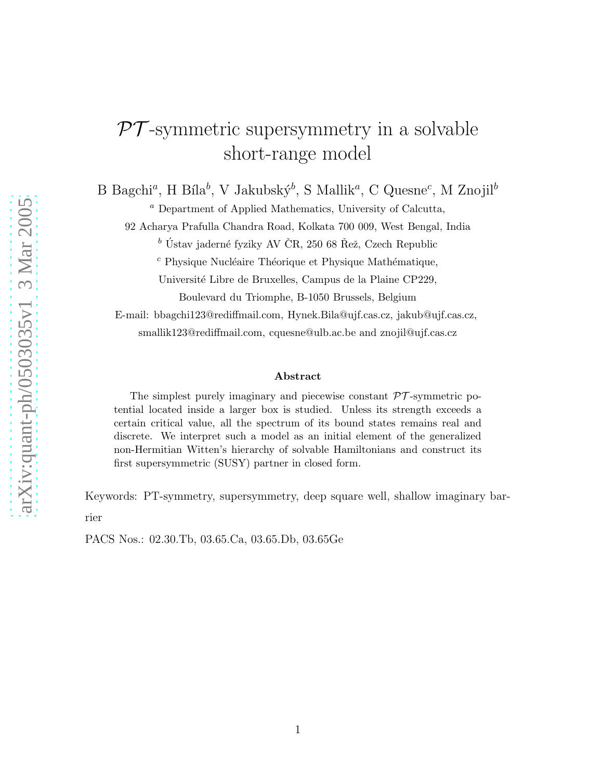# $PT$ -symmetric supersymmetry in a solvable short-range model

B Bagchi<sup>a</sup>, H Bíla<sup>b</sup>, V Jakubský<sup>b</sup>, S Mallik<sup>a</sup>, C Quesne<sup>c</sup>, M Znojil<sup>b</sup>

<sup>a</sup> Department of Applied Mathematics, University of Calcutta,

92 Acharya Prafulla Chandra Road, Kolkata 700 009, West Bengal, India

 $b$  Ústav jaderné fyziky AV ČR, 250 68 Řež, Czech Republic

 $c$  Physique Nucléaire Théorique et Physique Mathématique,

Université Libre de Bruxelles, Campus de la Plaine CP229, Boulevard du Triomphe, B-1050 Brussels, Belgium

E-mail: bbagchi123@rediffmail.com, Hynek.Bila@ujf.cas.cz, jakub@ujf.cas.cz, smallik123@rediffmail.com, cquesne@ulb.ac.be and znojil@ujf.cas.cz

#### Abstract

The simplest purely imaginary and piecewise constant  $\mathcal{P}\mathcal{T}$ -symmetric potential located inside a larger box is studied. Unless its strength exceeds a certain critical value, all the spectrum of its bound states remains real and discrete. We interpret such a model as an initial element of the generalized non-Hermitian Witten's hierarchy of solvable Hamiltonians and construct its first supersymmetric (SUSY) partner in closed form.

Keywords: PT-symmetry, supersymmetry, deep square well, shallow imaginary barrier

PACS Nos.: 02.30.Tb, 03.65.Ca, 03.65.Db, 03.65Ge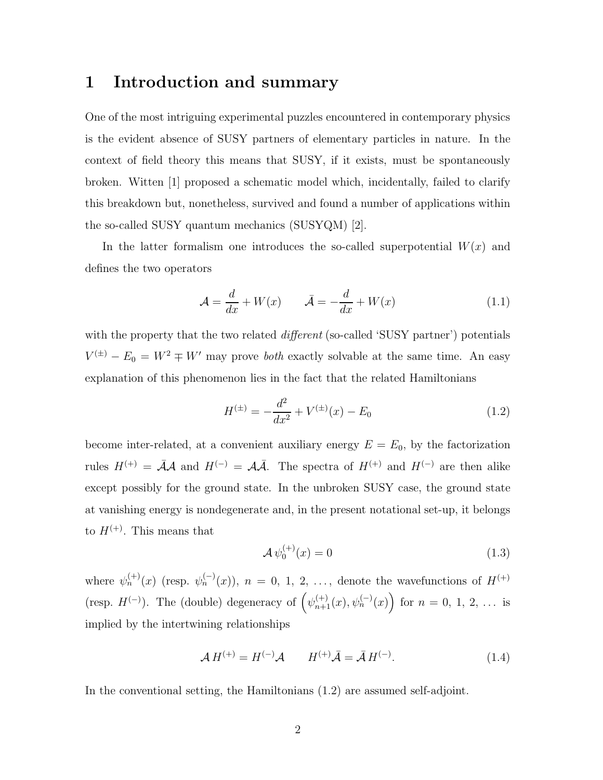## 1 Introduction and summary

One of the most intriguing experimental puzzles encountered in contemporary physics is the evident absence of SUSY partners of elementary particles in nature. In the context of field theory this means that SUSY, if it exists, must be spontaneously broken. Witten [1] proposed a schematic model which, incidentally, failed to clarify this breakdown but, nonetheless, survived and found a number of applications within the so-called SUSY quantum mechanics (SUSYQM) [2].

In the latter formalism one introduces the so-called superpotential  $W(x)$  and defines the two operators

$$
\mathcal{A} = \frac{d}{dx} + W(x) \qquad \bar{\mathcal{A}} = -\frac{d}{dx} + W(x) \tag{1.1}
$$

with the property that the two related *different* (so-called 'SUSY partner') potentials  $V^{(\pm)} - E_0 = W^2 \mp W'$  may prove *both* exactly solvable at the same time. An easy explanation of this phenomenon lies in the fact that the related Hamiltonians

$$
H^{(\pm)} = -\frac{d^2}{dx^2} + V^{(\pm)}(x) - E_0 \tag{1.2}
$$

become inter-related, at a convenient auxiliary energy  $E = E_0$ , by the factorization rules  $H^{(+)} = \overline{\mathcal{A}}\mathcal{A}$  and  $H^{(-)} = \mathcal{A}\overline{\mathcal{A}}$ . The spectra of  $H^{(+)}$  and  $H^{(-)}$  are then alike except possibly for the ground state. In the unbroken SUSY case, the ground state at vanishing energy is nondegenerate and, in the present notational set-up, it belongs to  $H^{(+)}$ . This means that

$$
\mathcal{A}\,\psi_0^{(+)}(x) = 0\tag{1.3}
$$

where  $\psi_n^{(+)}(x)$  (resp.  $\psi_n^{(-)}(x)$ ),  $n = 0, 1, 2, \ldots$ , denote the wavefunctions of  $H^{(+)}$ (resp.  $H^{(-)}$ ). The (double) degeneracy of  $(\psi_{n+1}^{(+)}(x), \psi_n^{(-)}(x))$  for  $n = 0, 1, 2, \ldots$  is implied by the intertwining relationships

$$
\mathcal{A} H^{(+)} = H^{(-)} \mathcal{A} \qquad H^{(+)} \bar{\mathcal{A}} = \bar{\mathcal{A}} H^{(-)}.
$$
 (1.4)

In the conventional setting, the Hamiltonians (1.2) are assumed self-adjoint.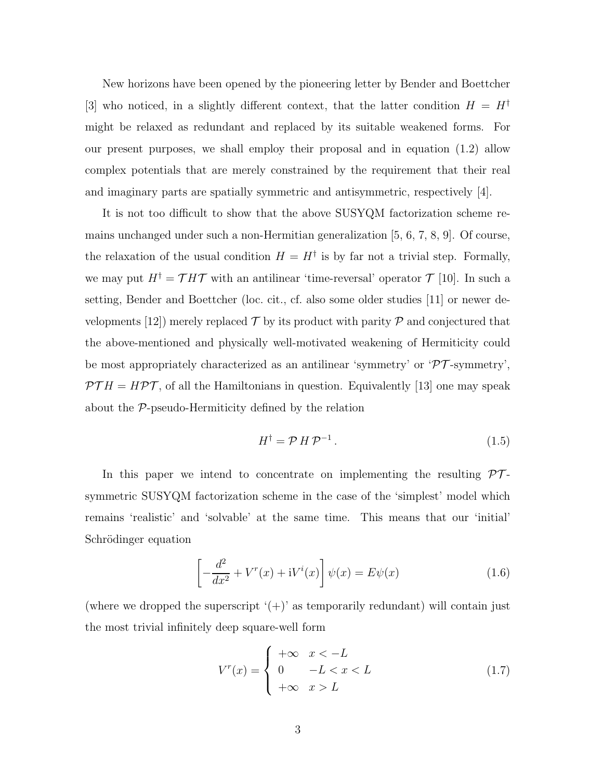New horizons have been opened by the pioneering letter by Bender and Boettcher [3] who noticed, in a slightly different context, that the latter condition  $H = H^{\dagger}$ might be relaxed as redundant and replaced by its suitable weakened forms. For our present purposes, we shall employ their proposal and in equation (1.2) allow complex potentials that are merely constrained by the requirement that their real and imaginary parts are spatially symmetric and antisymmetric, respectively  $|4|$ .

It is not too difficult to show that the above SUSYQM factorization scheme remains unchanged under such a non-Hermitian generalization [5, 6, 7, 8, 9]. Of course, the relaxation of the usual condition  $H = H^{\dagger}$  is by far not a trivial step. Formally, we may put  $H^{\dagger} = \mathcal{T} H \mathcal{T}$  with an antilinear 'time-reversal' operator  $\mathcal{T}$  [10]. In such a setting, Bender and Boettcher (loc. cit., cf. also some older studies [11] or newer developments [12]) merely replaced  $\mathcal T$  by its product with parity  $\mathcal P$  and conjectured that the above-mentioned and physically well-motivated weakening of Hermiticity could be most appropriately characterized as an antilinear 'symmetry' or  $\mathcal{PT}$ -symmetry',  $\mathcal{PT}H = H\mathcal{PT}$ , of all the Hamiltonians in question. Equivalently [13] one may speak about the P-pseudo-Hermiticity defined by the relation

$$
H^{\dagger} = \mathcal{P} H \mathcal{P}^{-1}.
$$
 (1.5)

In this paper we intend to concentrate on implementing the resulting  $PT$ symmetric SUSYQM factorization scheme in the case of the 'simplest' model which remains 'realistic' and 'solvable' at the same time. This means that our 'initial' Schrödinger equation

$$
\left[-\frac{d^2}{dx^2} + V^r(x) + \mathrm{i}V^i(x)\right]\psi(x) = E\psi(x) \tag{1.6}
$$

(where we dropped the superscript  $'(+)$  as temporarily redundant) will contain just the most trivial infinitely deep square-well form

$$
V^{r}(x) = \begin{cases} +\infty & x < -L \\ 0 & -L < x < L \\ +\infty & x > L \end{cases} \tag{1.7}
$$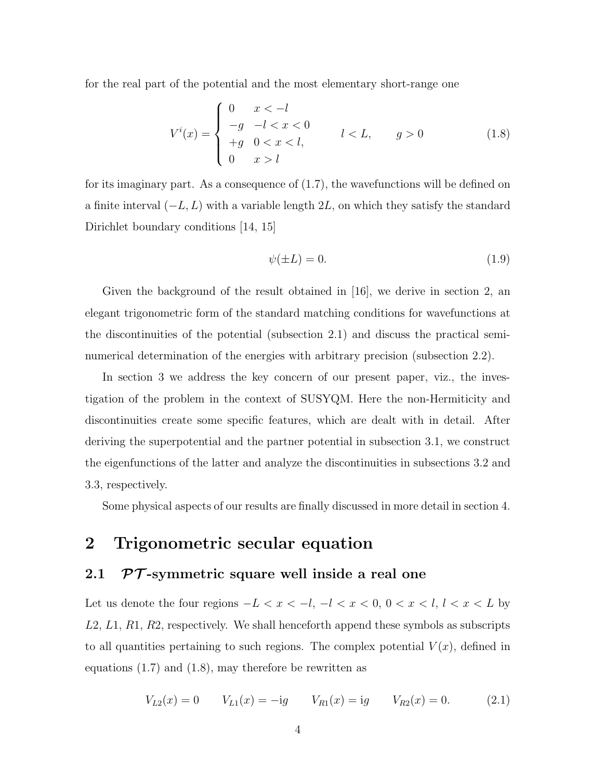for the real part of the potential and the most elementary short-range one

$$
V^{i}(x) = \begin{cases} 0 & x < -l \\ -g & -l < x < 0 \\ +g & 0 < x < l, \\ 0 & x > l \end{cases} \qquad l < L, \qquad g > 0 \tag{1.8}
$$

for its imaginary part. As a consequence of  $(1.7)$ , the wavefunctions will be defined on a finite interval  $(-L, L)$  with a variable length 2L, on which they satisfy the standard Dirichlet boundary conditions [14, 15]

$$
\psi(\pm L) = 0.\tag{1.9}
$$

Given the background of the result obtained in [16], we derive in section 2, an elegant trigonometric form of the standard matching conditions for wavefunctions at the discontinuities of the potential (subsection 2.1) and discuss the practical seminumerical determination of the energies with arbitrary precision (subsection 2.2).

In section 3 we address the key concern of our present paper, viz., the investigation of the problem in the context of SUSYQM. Here the non-Hermiticity and discontinuities create some specific features, which are dealt with in detail. After deriving the superpotential and the partner potential in subsection 3.1, we construct the eigenfunctions of the latter and analyze the discontinuities in subsections 3.2 and 3.3, respectively.

Some physical aspects of our results are finally discussed in more detail in section 4.

## 2 Trigonometric secular equation

## 2.1  $\mathcal{PT}$ -symmetric square well inside a real one

Let us denote the four regions  $-L < x < -l$ ,  $-l < x < 0$ ,  $0 < x < l$ ,  $l < x < L$  by L2, L1, R1, R2, respectively. We shall henceforth append these symbols as subscripts to all quantities pertaining to such regions. The complex potential  $V(x)$ , defined in equations (1.7) and (1.8), may therefore be rewritten as

$$
V_{L2}(x) = 0 \t V_{L1}(x) = -ig \t V_{R1}(x) = ig \t V_{R2}(x) = 0. \t (2.1)
$$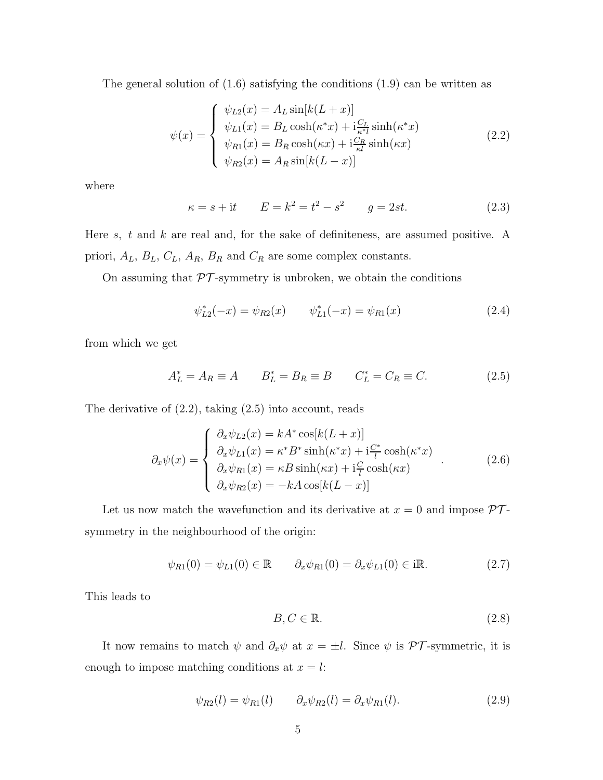The general solution of  $(1.6)$  satisfying the conditions  $(1.9)$  can be written as

$$
\psi(x) = \begin{cases}\n\psi_{L2}(x) = A_L \sin[k(L+x)] \\
\psi_{L1}(x) = B_L \cosh(\kappa^* x) + \mathbf{i} \frac{C_L}{\kappa^* l} \sinh(\kappa^* x) \\
\psi_{R1}(x) = B_R \cosh(\kappa x) + \mathbf{i} \frac{C_R}{\kappa^l} \sinh(\kappa x) \\
\psi_{R2}(x) = A_R \sin[k(L-x)]\n\end{cases}
$$
\n(2.2)

where

$$
\kappa = s + it
$$
  $E = k^2 = t^2 - s^2$   $g = 2st.$  (2.3)

Here  $s$ ,  $t$  and  $k$  are real and, for the sake of definiteness, are assumed positive. A priori,  $A_L$ ,  $B_L$ ,  $C_L$ ,  $A_R$ ,  $B_R$  and  $C_R$  are some complex constants.

On assuming that  $\mathcal{PT}\textrm{-symmetry}$  is unbroken, we obtain the conditions

$$
\psi_{L2}^*(-x) = \psi_{R2}(x) \qquad \psi_{L1}^*(-x) = \psi_{R1}(x) \tag{2.4}
$$

from which we get

$$
A_L^* = A_R \equiv A \qquad B_L^* = B_R \equiv B \qquad C_L^* = C_R \equiv C. \tag{2.5}
$$

The derivative of (2.2), taking (2.5) into account, reads

$$
\partial_x \psi(x) = \begin{cases}\n\partial_x \psi_{L2}(x) = kA^* \cos[k(L+x)] \\
\partial_x \psi_{L1}(x) = \kappa^* B^* \sinh(\kappa^* x) + i\frac{C^*}{l} \cosh(\kappa^* x) \\
\partial_x \psi_{R1}(x) = \kappa B \sinh(\kappa x) + i\frac{C}{l} \cosh(\kappa x) \\
\partial_x \psi_{R2}(x) = -kA \cos[k(L-x)]\n\end{cases} (2.6)
$$

Let us now match the wavefunction and its derivative at  $x = 0$  and impose  $\mathcal{PT}$ symmetry in the neighbourhood of the origin:

$$
\psi_{R1}(0) = \psi_{L1}(0) \in \mathbb{R} \qquad \partial_x \psi_{R1}(0) = \partial_x \psi_{L1}(0) \in i\mathbb{R}.
$$
 (2.7)

This leads to

$$
B, C \in \mathbb{R}.\tag{2.8}
$$

It now remains to match  $\psi$  and  $\partial_x \psi$  at  $x = \pm l$ . Since  $\psi$  is PT-symmetric, it is enough to impose matching conditions at  $x = l$ :

$$
\psi_{R2}(l) = \psi_{R1}(l) \qquad \partial_x \psi_{R2}(l) = \partial_x \psi_{R1}(l). \tag{2.9}
$$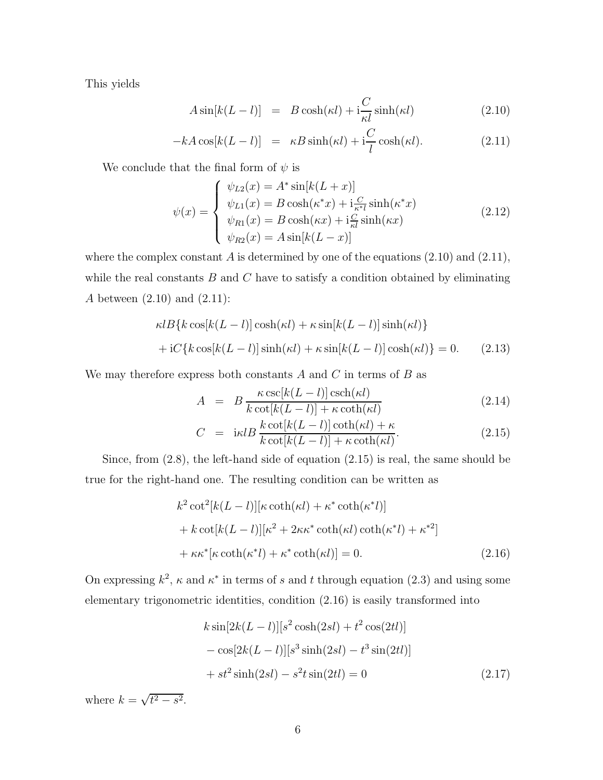This yields

$$
A\sin[k(L-l)] = B\cosh(\kappa l) + i\frac{C}{\kappa l}\sinh(\kappa l)
$$
\n(2.10)

$$
-kA\cos[k(L-l)] = \kappa B\sinh(\kappa l) + i\frac{C}{l}\cosh(\kappa l). \tag{2.11}
$$

We conclude that the final form of  $\psi$  is

$$
\psi(x) = \begin{cases}\n\psi_{L2}(x) = A^* \sin[k(L+x)] \\
\psi_{L1}(x) = B \cosh(\kappa^* x) + \mathbf{i} \frac{C}{\kappa^* l} \sinh(\kappa^* x) \\
\psi_{R1}(x) = B \cosh(\kappa x) + \mathbf{i} \frac{C}{\kappa l} \sinh(\kappa x) \\
\psi_{R2}(x) = A \sin[k(L-x)]\n\end{cases}
$$
\n(2.12)

where the complex constant A is determined by one of the equations  $(2.10)$  and  $(2.11)$ , while the real constants  $B$  and  $C$  have to satisfy a condition obtained by eliminating A between (2.10) and (2.11):

$$
\kappa l B\{k \cos[k(L-l)] \cosh(\kappa l) + \kappa \sin[k(L-l)] \sinh(\kappa l)\}
$$

$$
+ iC\{k \cos[k(L-l)] \sinh(\kappa l) + \kappa \sin[k(L-l)] \cosh(\kappa l)\} = 0. \tag{2.13}
$$

We may therefore express both constants  $A$  and  $C$  in terms of  $B$  as

$$
A = B \frac{\kappa \csc[k(L-l)] \csch(\kappa l)}{k \cot[k(L-l)] + \kappa \coth(\kappa l)} \tag{2.14}
$$

$$
C = i\kappa lB \frac{k \cot[k(L-l)] \coth(\kappa l) + \kappa}{k \cot[k(L-l)] + \kappa \coth(\kappa l)}.
$$
\n(2.15)

Since, from (2.8), the left-hand side of equation (2.15) is real, the same should be true for the right-hand one. The resulting condition can be written as

$$
k^{2} \cot^{2}[k(L-l)][\kappa \coth(\kappa l) + \kappa^{*} \coth(\kappa^{*}l)]
$$
  
+  $k \cot[k(L-l)][\kappa^{2} + 2\kappa \kappa^{*} \coth(\kappa l) \coth(\kappa^{*}l) + \kappa^{*2}]$   
+  $\kappa \kappa^{*}[\kappa \coth(\kappa^{*}l) + \kappa^{*} \coth(\kappa l)] = 0.$  (2.16)

On expressing  $k^2$ ,  $\kappa$  and  $\kappa^*$  in terms of s and t through equation (2.3) and using some elementary trigonometric identities, condition (2.16) is easily transformed into

$$
k \sin[2k(L-l)][s^2 \cosh(2sl) + t^2 \cos(2tl)]
$$
  
-  $\cos[2k(L-l)][s^3 \sinh(2sl) - t^3 \sin(2tl)]$   
+  $st^2 \sinh(2sl) - s^2t \sin(2tl) = 0$  (2.17)

where  $k = \sqrt{t^2 - s^2}$ .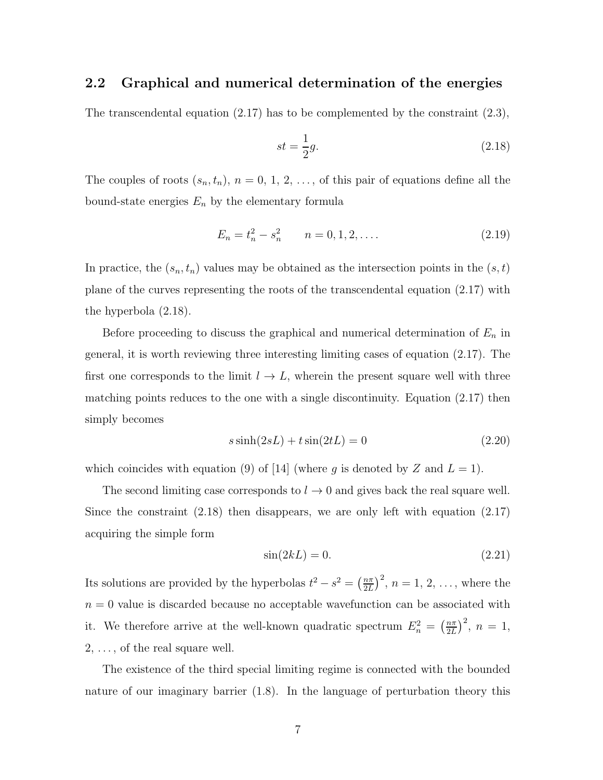#### 2.2 Graphical and numerical determination of the energies

The transcendental equation  $(2.17)$  has to be complemented by the constraint  $(2.3)$ ,

$$
st = \frac{1}{2}g.\tag{2.18}
$$

The couples of roots  $(s_n, t_n)$ ,  $n = 0, 1, 2, \ldots$ , of this pair of equations define all the bound-state energies  $E_n$  by the elementary formula

$$
E_n = t_n^2 - s_n^2 \qquad n = 0, 1, 2, \dots \tag{2.19}
$$

In practice, the  $(s_n, t_n)$  values may be obtained as the intersection points in the  $(s, t)$ plane of the curves representing the roots of the transcendental equation (2.17) with the hyperbola (2.18).

Before proceeding to discuss the graphical and numerical determination of  $E_n$  in general, it is worth reviewing three interesting limiting cases of equation (2.17). The first one corresponds to the limit  $l \to L$ , wherein the present square well with three matching points reduces to the one with a single discontinuity. Equation (2.17) then simply becomes

$$
s\sinh(2sL) + t\sin(2tL) = 0\tag{2.20}
$$

which coincides with equation (9) of [14] (where g is denoted by Z and  $L = 1$ ).

The second limiting case corresponds to  $l \to 0$  and gives back the real square well. Since the constraint (2.18) then disappears, we are only left with equation (2.17) acquiring the simple form

$$
\sin(2kL) = 0.\tag{2.21}
$$

Its solutions are provided by the hyperbolas  $t^2 - s^2 = \left(\frac{n\pi}{2L}\right)$  $\left(\frac{n\pi}{2L}\right)^2$ ,  $n=1, 2, \ldots$ , where the  $n = 0$  value is discarded because no acceptable wavefunction can be associated with it. We therefore arrive at the well-known quadratic spectrum  $E_n^2 = \left(\frac{n\pi}{2L}\right)^2$  $\frac{n\pi}{2L}$  $\Big)^2$ ,  $n = 1$ ,  $2, \ldots$ , of the real square well.

The existence of the third special limiting regime is connected with the bounded nature of our imaginary barrier (1.8). In the language of perturbation theory this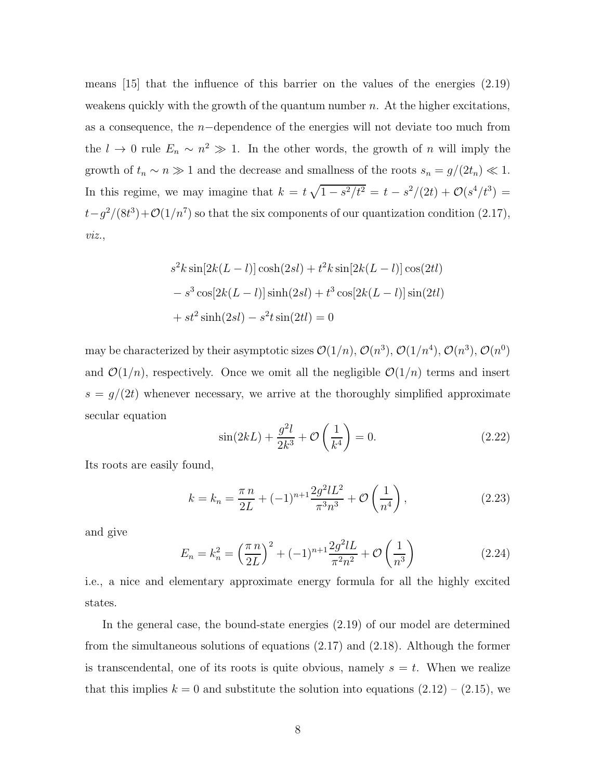means [15] that the influence of this barrier on the values of the energies (2.19) weakens quickly with the growth of the quantum number  $n$ . At the higher excitations, as a consequence, the n−dependence of the energies will not deviate too much from the  $l \to 0$  rule  $E_n \sim n^2 \gg 1$ . In the other words, the growth of n will imply the growth of  $t_n \sim n \gg 1$  and the decrease and smallness of the roots  $s_n = g/(2t_n) \ll 1$ . In this regime, we may imagine that  $k = t\sqrt{1 - s^2/t^2} = t - s^2/(2t) + \mathcal{O}(s^4/t^3) =$  $t-g^2/(8t^3)+\mathcal{O}(1/n^7)$  so that the six components of our quantization condition (2.17), viz.,

$$
s^{2}k\sin[2k(L-l)]\cosh(2sl) + t^{2}k\sin[2k(L-l)]\cos(2tl) - s^{3}\cos[2k(L-l)]\sinh(2sl) + t^{3}\cos[2k(L-l)]\sin(2tl) + st^{2}\sinh(2sl) - s^{2}t\sin(2tl) = 0
$$

may be characterized by their asymptotic sizes  $\mathcal{O}(1/n)$ ,  $\mathcal{O}(n^3)$ ,  $\mathcal{O}(1/n^4)$ ,  $\mathcal{O}(n^3)$ ,  $\mathcal{O}(n^0)$ and  $\mathcal{O}(1/n)$ , respectively. Once we omit all the negligible  $\mathcal{O}(1/n)$  terms and insert  $s = g/(2t)$  whenever necessary, we arrive at the thoroughly simplified approximate secular equation

$$
\sin(2kL) + \frac{g^2 l}{2k^3} + \mathcal{O}\left(\frac{1}{k^4}\right) = 0.
$$
 (2.22)

Its roots are easily found,

$$
k = k_n = \frac{\pi n}{2L} + (-1)^{n+1} \frac{2g^2 l L^2}{\pi^3 n^3} + \mathcal{O}\left(\frac{1}{n^4}\right),\tag{2.23}
$$

and give

$$
E_n = k_n^2 = \left(\frac{\pi n}{2L}\right)^2 + (-1)^{n+1} \frac{2g^2 lL}{\pi^2 n^2} + \mathcal{O}\left(\frac{1}{n^3}\right)
$$
 (2.24)

i.e., a nice and elementary approximate energy formula for all the highly excited states.

In the general case, the bound-state energies (2.19) of our model are determined from the simultaneous solutions of equations (2.17) and (2.18). Although the former is transcendental, one of its roots is quite obvious, namely  $s = t$ . When we realize that this implies  $k = 0$  and substitute the solution into equations  $(2.12) - (2.15)$ , we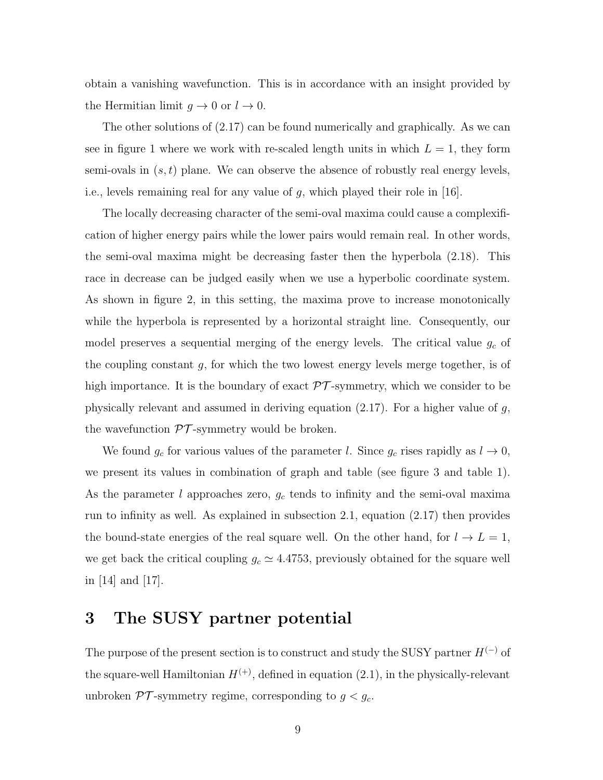obtain a vanishing wavefunction. This is in accordance with an insight provided by the Hermitian limit  $g \to 0$  or  $l \to 0$ .

The other solutions of (2.17) can be found numerically and graphically. As we can see in figure 1 where we work with re-scaled length units in which  $L = 1$ , they form semi-ovals in  $(s, t)$  plane. We can observe the absence of robustly real energy levels, i.e., levels remaining real for any value of g, which played their role in [16].

The locally decreasing character of the semi-oval maxima could cause a complexification of higher energy pairs while the lower pairs would remain real. In other words, the semi-oval maxima might be decreasing faster then the hyperbola (2.18). This race in decrease can be judged easily when we use a hyperbolic coordinate system. As shown in figure 2, in this setting, the maxima prove to increase monotonically while the hyperbola is represented by a horizontal straight line. Consequently, our model preserves a sequential merging of the energy levels. The critical value  $g_c$  of the coupling constant  $g$ , for which the two lowest energy levels merge together, is of high importance. It is the boundary of exact  $\mathcal{PT}$ -symmetry, which we consider to be physically relevant and assumed in deriving equation  $(2.17)$ . For a higher value of g, the wavefunction  $\mathcal{PT}$ -symmetry would be broken.

We found  $g_c$  for various values of the parameter l. Since  $g_c$  rises rapidly as  $l \to 0$ , we present its values in combination of graph and table (see figure 3 and table 1). As the parameter l approaches zero,  $g_c$  tends to infinity and the semi-oval maxima run to infinity as well. As explained in subsection 2.1, equation (2.17) then provides the bound-state energies of the real square well. On the other hand, for  $l \to L = 1$ , we get back the critical coupling  $g_c \simeq 4.4753$ , previously obtained for the square well in [14] and [17].

# 3 The SUSY partner potential

The purpose of the present section is to construct and study the SUSY partner  $H^{(-)}$  of the square-well Hamiltonian  $H^{(+)}$ , defined in equation (2.1), in the physically-relevant unbroken  $\mathcal{PT}$ -symmetry regime, corresponding to  $g < g_c$ .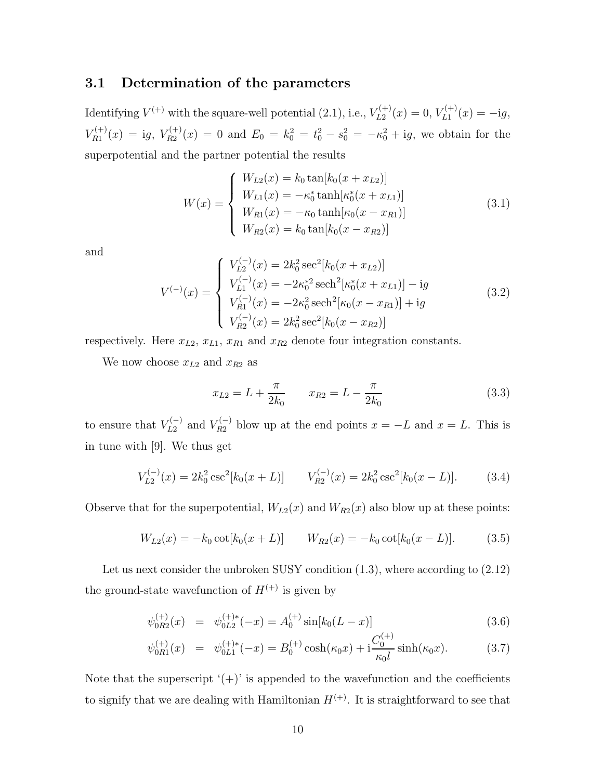#### 3.1 Determination of the parameters

Identifying  $V^{(+)}$  with the square-well potential (2.1), i.e.,  $V_{L2}^{(+)}(x) = 0$ ,  $V_{L1}^{(+)}(x) = -ig$ ,  $V_{R1}^{(+)}(x) = ig, V_{R2}^{(+)}(x) = 0$  and  $E_0 = k_0^2 = t_0^2 - s_0^2 = -\kappa_0^2 + ig$ , we obtain for the superpotential and the partner potential the results

$$
W(x) = \begin{cases} W_{L2}(x) = k_0 \tan[k_0(x + x_{L2})] \\ W_{L1}(x) = -\kappa_0^* \tanh[\kappa_0^*(x + x_{L1})] \\ W_{R1}(x) = -\kappa_0 \tanh[\kappa_0(x - x_{R1})] \\ W_{R2}(x) = k_0 \tan[k_0(x - x_{R2})] \end{cases}
$$
(3.1)

and

$$
V^{(-)}(x) = \begin{cases} V_{L2}^{(-)}(x) = 2k_0^2 \sec^2[k_0(x + x_{L2})] \\ V_{L1}^{(-)}(x) = -2\kappa_0^*^2 \operatorname{sech}^2[\kappa_0^*(x + x_{L1})] - ig \\ V_{R1}^{(-)}(x) = -2\kappa_0^2 \operatorname{sech}^2[\kappa_0(x - x_{R1})] + ig \\ V_{R2}^{(-)}(x) = 2k_0^2 \operatorname{sec}^2[k_0(x - x_{R2})] \end{cases}
$$
(3.2)

respectively. Here  $x_{L2}$ ,  $x_{L1}$ ,  $x_{R1}$  and  $x_{R2}$  denote four integration constants.

We now choose  $x_{L2}$  and  $x_{R2}$  as

$$
x_{L2} = L + \frac{\pi}{2k_0} \qquad x_{R2} = L - \frac{\pi}{2k_0} \tag{3.3}
$$

to ensure that  $V_{L2}^{(-)}$  and  $V_{R2}^{(-)}$  blow up at the end points  $x = -L$  and  $x = L$ . This is in tune with [9]. We thus get

$$
V_{L2}^{(-)}(x) = 2k_0^2 \csc^2[k_0(x+L)] \qquad V_{R2}^{(-)}(x) = 2k_0^2 \csc^2[k_0(x-L)]. \tag{3.4}
$$

Observe that for the superpotential,  $W_{L2}(x)$  and  $W_{R2}(x)$  also blow up at these points:

$$
W_{L2}(x) = -k_0 \cot[k_0(x+L)] \qquad W_{R2}(x) = -k_0 \cot[k_0(x-L)]. \tag{3.5}
$$

Let us next consider the unbroken SUSY condition  $(1.3)$ , where according to  $(2.12)$ the ground-state wavefunction of  $H^{(+)}$  is given by

$$
\psi_{0R2}^{(+)}(x) = \psi_{0L2}^{(+)}(-x) = A_0^{(+)} \sin[k_0(L-x)] \tag{3.6}
$$

$$
\psi_{0R1}^{(+)}(x) = \psi_{0L1}^{(+)}{}^{*}(-x) = B_0^{(+)} \cosh(\kappa_0 x) + \mathrm{i} \frac{C_0^{(+)}}{\kappa_0 l} \sinh(\kappa_0 x). \tag{3.7}
$$

Note that the superscript  $'(+)$  is appended to the wavefunction and the coefficients to signify that we are dealing with Hamiltonian  $H^{(+)}$ . It is straightforward to see that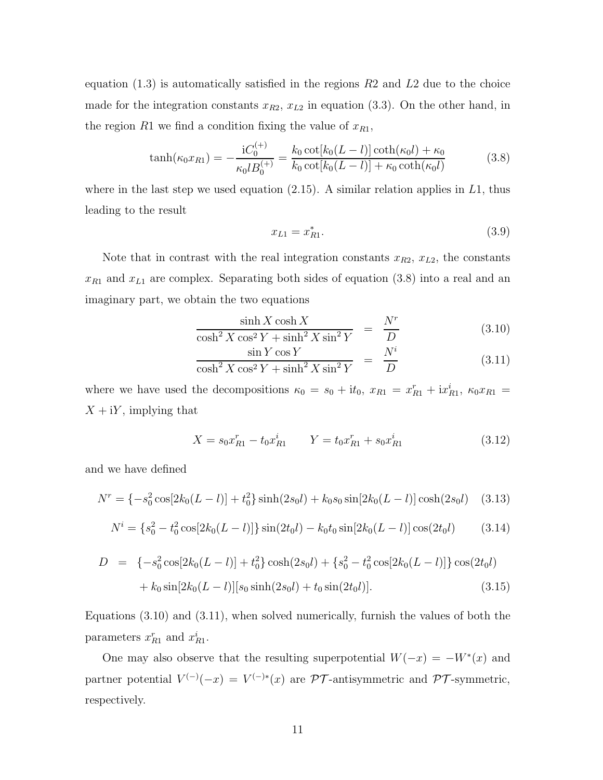equation  $(1.3)$  is automatically satisfied in the regions  $R2$  and  $L2$  due to the choice made for the integration constants  $x_{R2}$ ,  $x_{L2}$  in equation (3.3). On the other hand, in the region R1 we find a condition fixing the value of  $x_{R1}$ ,

$$
\tanh(\kappa_0 x_{R1}) = -\frac{iC_0^{(+)}}{\kappa_0 l B_0^{(+)}} = \frac{k_0 \cot[k_0(L-l)] \coth(\kappa_0 l) + \kappa_0}{k_0 \cot[k_0(L-l)] + \kappa_0 \coth(\kappa_0 l)}\tag{3.8}
$$

where in the last step we used equation  $(2.15)$ . A similar relation applies in L1, thus leading to the result

$$
x_{L1} = x_{R1}^*.\t\t(3.9)
$$

Note that in contrast with the real integration constants  $x_{R2}$ ,  $x_{L2}$ , the constants  $x_{R1}$  and  $x_{L1}$  are complex. Separating both sides of equation (3.8) into a real and an imaginary part, we obtain the two equations

$$
\frac{\sinh X \cosh X}{\cosh^2 X \cos^2 Y + \sinh^2 X \sin^2 Y} = \frac{N^r}{D} \tag{3.10}
$$

$$
\frac{\sin Y \cos Y}{\cosh^2 X \cos^2 Y + \sinh^2 X \sin^2 Y} = \frac{N^i}{D}
$$
\n(3.11)

where we have used the decompositions  $\kappa_0 = s_0 + it_0$ ,  $x_{R1} = x_{R1}^r + ix_{R1}^i$ ,  $\kappa_0 x_{R1} =$  $X + iY$ , implying that

$$
X = s_0 x_{R1}^r - t_0 x_{R1}^i \qquad Y = t_0 x_{R1}^r + s_0 x_{R1}^i \tag{3.12}
$$

and we have defined

$$
N^r = \{-s_0^2 \cos[2k_0(L-l)] + t_0^2\} \sinh(2s_0l) + k_0 s_0 \sin[2k_0(L-l)] \cosh(2s_0l) \quad (3.13)
$$

$$
N^{i} = \{s_0^2 - t_0^2 \cos[2k_0(L-l)]\} \sin(2t_0l) - k_0 t_0 \sin[2k_0(L-l)] \cos(2t_0l) \qquad (3.14)
$$

$$
D = \{-s_0^2 \cos[2k_0(L-l)] + t_0^2\} \cosh(2s_0l) + \{s_0^2 - t_0^2 \cos[2k_0(L-l)]\} \cos(2t_0l) + k_0 \sin[2k_0(L-l)][s_0 \sinh(2s_0l) + t_0 \sin(2t_0l)].
$$
\n(3.15)

Equations (3.10) and (3.11), when solved numerically, furnish the values of both the parameters  $x_{R1}^r$  and  $x_{R1}^i$ .

One may also observe that the resulting superpotential  $W(-x) = -W^*(x)$  and partner potential  $V^{(-)}(-x) = V^{(-)*}(x)$  are  $\mathcal{PT}$ -antisymmetric and  $\mathcal{PT}$ -symmetric, respectively.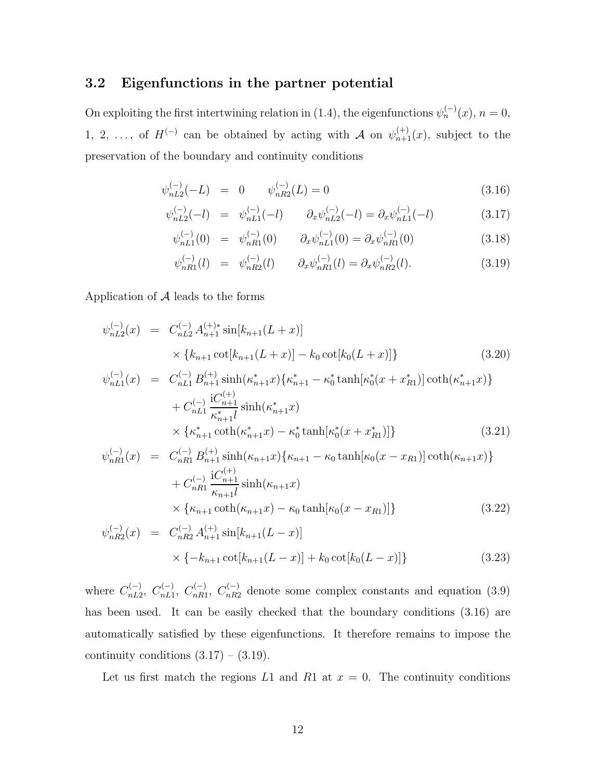## 3.2 Eigenfunctions in the partner potential

On exploiting the first intertwining relation in (1.4), the eigenfunctions  $\psi_n^{(-)}(x)$ ,  $n = 0$ , 1, 2, ..., of  $H^{(-)}$  can be obtained by acting with A on  $\psi_{n+1}^{(+)}(x)$ , subject to the preservation of the boundary and continuity conditions

$$
\psi_{nL2}^{(-)}(-L) = 0 \qquad \psi_{nR2}^{(-)}(L) = 0 \tag{3.16}
$$

$$
\psi_{nL2}^{(-)}(-l) = \psi_{nL1}^{(-)}(-l) \qquad \partial_x \psi_{nL2}^{(-)}(-l) = \partial_x \psi_{nL1}^{(-)}(-l) \tag{3.17}
$$

$$
\psi_{nL1}^{(-)}(0) = \psi_{nR1}^{(-)}(0) \qquad \partial_x \psi_{nL1}^{(-)}(0) = \partial_x \psi_{nR1}^{(-)}(0) \tag{3.18}
$$

$$
\psi_{nR1}^{(-)}(l) = \psi_{nR2}^{(-)}(l) \qquad \partial_x \psi_{nR1}^{(-)}(l) = \partial_x \psi_{nR2}^{(-)}(l). \tag{3.19}
$$

Application of  $A$  leads to the forms

$$
\psi_{nL2}^{(-)}(x) = C_{nL2}^{(-)} A_{n+1}^{(+)} \sin[k_{n+1}(L+x)]
$$
\n
$$
\times \{k_{n+1} \cot[k_{n+1}(L+x)] - k_0 \cot[k_0(L+x)]\}
$$
\n
$$
\psi_{nL1}^{(-)}(x) = C_{nL1}^{(-)} B_{n+1}^{(+)} \sinh(\kappa_{n+1}^* x) \{\kappa_{n+1}^* - \kappa_0^* \tanh[\kappa_0^* (x + x_{R1}^*)] \coth(\kappa_{n+1}^* x)\}
$$
\n
$$
+ C_{nL1}^{(-)} \frac{\mathrm{i} C_{n+1}^{(+)}}{\kappa_{n+1}^* l} \sinh(\kappa_{n+1}^* x)
$$
\n
$$
\times \{\kappa_{n+1}^* \coth(\kappa_{n+1}^* x) - \kappa_0^* \tanh[\kappa_0^* (x + x_{R1}^*)]\}
$$
\n
$$
\psi_{nR1}^{(-)}(x) = C_{nR1}^{(-)} B_{n+1}^{(+)} \sinh(\kappa_{n+1} x) \{\kappa_{n+1} - \kappa_0 \tanh[\kappa_0 (x - x_{R1})] \coth(\kappa_{n+1} x)\}
$$
\n
$$
+ C_{nR1}^{(-)} \frac{\mathrm{i} C_{n+1}^{(+)}}{\kappa_{n+1} l} \sinh(\kappa_{n+1} x)
$$
\n
$$
\times \{\kappa_{n+1} \coth(\kappa_{n+1} x) - \kappa_0 \tanh[\kappa_0 (x - x_{R1})]\}
$$
\n
$$
\tag{3.22}
$$

$$
\psi_{nR2}^{(-)}(x) = C_{nR2}^{(-)} A_{n+1}^{(+)} \sin[k_{n+1}(L-x)]
$$
  
 
$$
\times \{-k_{n+1} \cot[k_{n+1}(L-x)] + k_0 \cot[k_0(L-x)]\}
$$
 (3.23)

where  $C_{nL2}^{(-)}$ ,  $C_{nL1}^{(-)}$ ,  $C_{nR1}^{(-)}$ ,  $C_{nR2}^{(-)}$  denote some complex constants and equation (3.9) has been used. It can be easily checked that the boundary conditions  $(3.16)$  are automatically satisfied by these eigenfunctions. It therefore remains to impose the continuity conditions  $(3.17) - (3.19)$ .

Let us first match the regions L1 and R1 at  $x = 0$ . The continuity conditions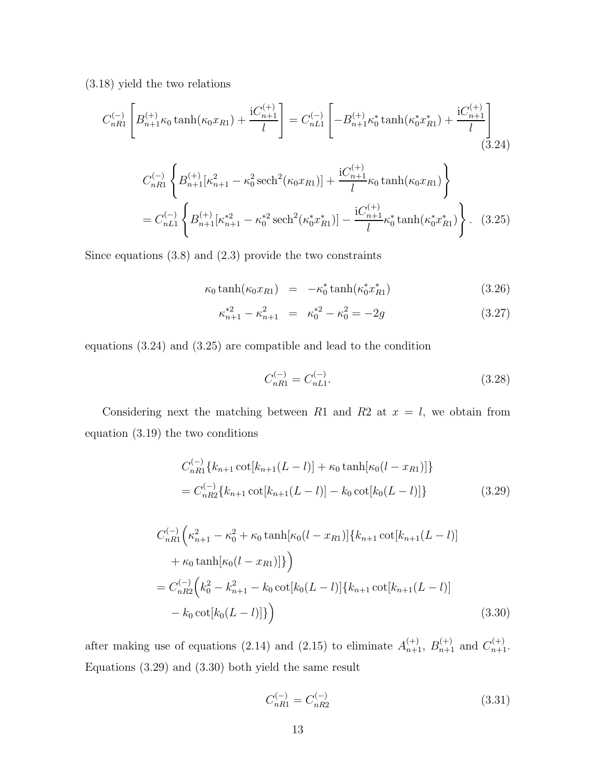(3.18) yield the two relations

$$
C_{nR1}^{(-)} \left[ B_{n+1}^{(+)} \kappa_0 \tanh(\kappa_0 x_{R1}) + \frac{iC_{n+1}^{(+)}}{l} \right] = C_{nL1}^{(-)} \left[ -B_{n+1}^{(+)} \kappa_0^* \tanh(\kappa_0^* x_{R1}^*) + \frac{iC_{n+1}^{(+)}}{l} \right]
$$
\n(3.24)

$$
C_{nR1}^{(-)} \left\{ B_{n+1}^{(+)}[\kappa_{n+1}^2 - \kappa_0^2 \operatorname{sech}^2(\kappa_0 x_{R1})] + \frac{\mathrm{i}C_{n+1}^{(+)}}{l} \kappa_0 \tanh(\kappa_0 x_{R1}) \right\}
$$
  
=  $C_{nL1}^{(-)} \left\{ B_{n+1}^{(+)}[\kappa_{n+1}^{*2} - \kappa_0^{*2} \operatorname{sech}^2(\kappa_0^* x_{R1}^*)] - \frac{\mathrm{i}C_{n+1}^{(+)}}{l} \kappa_0^* \tanh(\kappa_0^* x_{R1}^*) \right\}.$  (3.25)

Since equations (3.8) and (2.3) provide the two constraints

$$
\kappa_0 \tanh(\kappa_0 x_{R1}) = -\kappa_0^* \tanh(\kappa_0^* x_{R1}^*)
$$
\n(3.26)

$$
\kappa_{n+1}^{*2} - \kappa_{n+1}^2 = \kappa_0^{*2} - \kappa_0^2 = -2g \tag{3.27}
$$

equations (3.24) and (3.25) are compatible and lead to the condition

$$
C_{nR1}^{(-)} = C_{nL1}^{(-)}.\tag{3.28}
$$

Considering next the matching between R1 and R2 at  $x = l$ , we obtain from equation (3.19) the two conditions

$$
C_{nR1}^{(-)}\{k_{n+1}\cot[k_{n+1}(L-l)] + \kappa_0 \tanh[\kappa_0(l-x_{R1})]\}
$$
  
= 
$$
C_{nR2}^{(-)}\{k_{n+1}\cot[k_{n+1}(L-l)] - k_0 \cot[k_0(L-l)]\}
$$
(3.29)

$$
C_{nR1}^{(-)}\left(\kappa_{n+1}^2 - \kappa_0^2 + \kappa_0 \tanh[\kappa_0(l - x_{R1})]\{k_{n+1} \cot[k_{n+1}(L-l)] + \kappa_0 \tanh[\kappa_0(l - x_{R1})]\}\right)
$$
  
= 
$$
C_{nR2}^{(-)}\left(k_0^2 - k_{n+1}^2 - k_0 \cot[k_0(L-l)]\{k_{n+1} \cot[k_{n+1}(L-l)] - k_0 \cot[k_0(L-l)]\}\right)
$$
(3.30)

after making use of equations (2.14) and (2.15) to eliminate  $A_{n+1}^{(+)}$ ,  $B_{n+1}^{(+)}$  and  $C_{n+1}^{(+)}$ . Equations (3.29) and (3.30) both yield the same result

$$
C_{nR1}^{(-)} = C_{nR2}^{(-)} \tag{3.31}
$$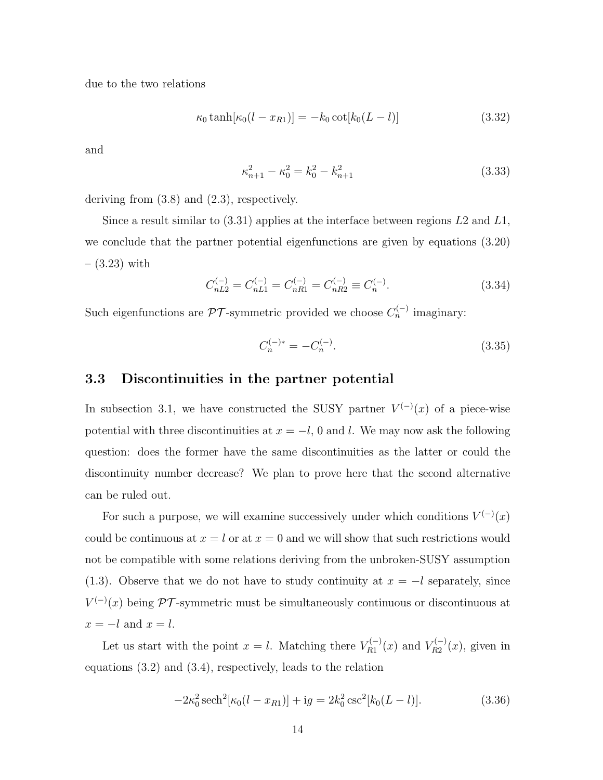due to the two relations

$$
\kappa_0 \tanh[\kappa_0 (l - x_{R1})] = -k_0 \cot[k_0 (L - l)] \tag{3.32}
$$

and

$$
\kappa_{n+1}^2 - \kappa_0^2 = k_0^2 - k_{n+1}^2 \tag{3.33}
$$

deriving from (3.8) and (2.3), respectively.

Since a result similar to  $(3.31)$  applies at the interface between regions  $L2$  and  $L1$ , we conclude that the partner potential eigenfunctions are given by equations (3.20)  $-$  (3.23) with

$$
C_{nL2}^{(-)} = C_{nL1}^{(-)} = C_{nR1}^{(-)} = C_{nR2}^{(-)} \equiv C_n^{(-)}.
$$
\n(3.34)

Such eigenfunctions are  $\mathcal{PT}$ -symmetric provided we choose  $C_n^{(-)}$  imaginary:

$$
C_n^{(-)*} = -C_n^{(-)}.\t\t(3.35)
$$

#### 3.3 Discontinuities in the partner potential

In subsection 3.1, we have constructed the SUSY partner  $V^{(-)}(x)$  of a piece-wise potential with three discontinuities at  $x = -l$ , 0 and l. We may now ask the following question: does the former have the same discontinuities as the latter or could the discontinuity number decrease? We plan to prove here that the second alternative can be ruled out.

For such a purpose, we will examine successively under which conditions  $V^{(-)}(x)$ could be continuous at  $x = l$  or at  $x = 0$  and we will show that such restrictions would not be compatible with some relations deriving from the unbroken-SUSY assumption (1.3). Observe that we do not have to study continuity at  $x = -l$  separately, since  $V^{(-)}(x)$  being PT-symmetric must be simultaneously continuous or discontinuous at  $x = -l$  and  $x = l$ .

Let us start with the point  $x = l$ . Matching there  $V_{R1}^{(-)}(x)$  and  $V_{R2}^{(-)}(x)$ , given in equations (3.2) and (3.4), respectively, leads to the relation

$$
-2\kappa_0^2 \operatorname{sech}^2[\kappa_0(l - x_{R1})] + ig = 2k_0^2 \operatorname{csc}^2[k_0(L - l)].
$$
\n(3.36)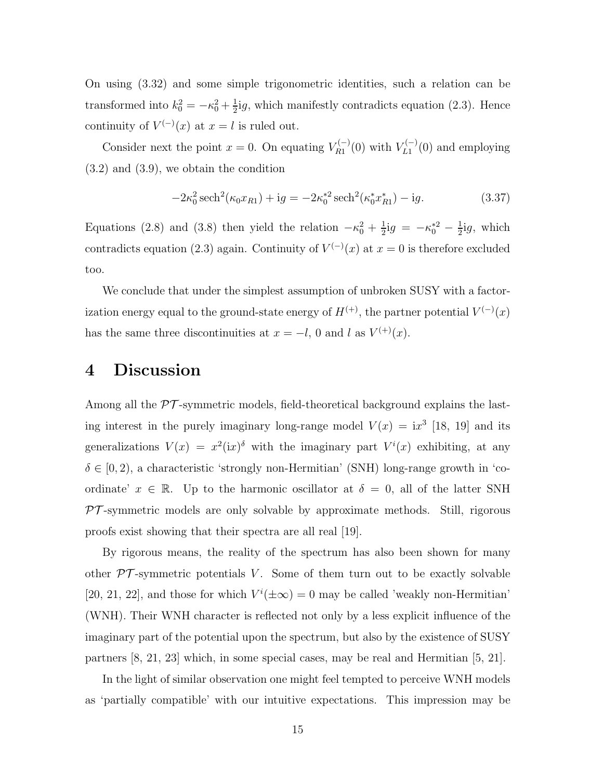On using (3.32) and some simple trigonometric identities, such a relation can be transformed into  $k_0^2 = -\kappa_0^2 + \frac{1}{2}$  $\frac{1}{2}$ ig, which manifestly contradicts equation (2.3). Hence continuity of  $V^{(-)}(x)$  at  $x = l$  is ruled out.

Consider next the point  $x = 0$ . On equating  $V_{R_1}^{(-)}(0)$  with  $V_{L_1}^{(-)}(0)$  and employing (3.2) and (3.9), we obtain the condition

$$
-2\kappa_0^2 \operatorname{sech}^2(\kappa_0 x_{R1}) + \mathrm{i}g = -2\kappa_0^{*2} \operatorname{sech}^2(\kappa_0^* x_{R1}^*) - \mathrm{i}g. \tag{3.37}
$$

Equations (2.8) and (3.8) then yield the relation  $-\kappa_0^2 + \frac{1}{2}$  $\frac{1}{2}$ ig =  $-\kappa_0^{*2} - \frac{1}{2}$  $\frac{1}{2}$ ig, which contradicts equation (2.3) again. Continuity of  $V^{(-)}(x)$  at  $x=0$  is therefore excluded too.

We conclude that under the simplest assumption of unbroken SUSY with a factorization energy equal to the ground-state energy of  $H^{(+)}$ , the partner potential  $V^{(-)}(x)$ has the same three discontinuities at  $x = -l$ , 0 and l as  $V^{(+)}(x)$ .

## 4 Discussion

Among all the  $\mathcal{PT}$ -symmetric models, field-theoretical background explains the lasting interest in the purely imaginary long-range model  $V(x) = ix^3$  [18, 19] and its generalizations  $V(x) = x^2 (ix)^{\delta}$  with the imaginary part  $V^i(x)$  exhibiting, at any  $\delta \in [0, 2)$ , a characteristic 'strongly non-Hermitian' (SNH) long-range growth in 'coordinate'  $x \in \mathbb{R}$ . Up to the harmonic oscillator at  $\delta = 0$ , all of the latter SNH  $PT$ -symmetric models are only solvable by approximate methods. Still, rigorous proofs exist showing that their spectra are all real [19].

By rigorous means, the reality of the spectrum has also been shown for many other  $\mathcal{PT}$ -symmetric potentials V. Some of them turn out to be exactly solvable [20, 21, 22], and those for which  $V^i(\pm \infty) = 0$  may be called 'weakly non-Hermitian' (WNH). Their WNH character is reflected not only by a less explicit influence of the imaginary part of the potential upon the spectrum, but also by the existence of SUSY partners [8, 21, 23] which, in some special cases, may be real and Hermitian [5, 21].

In the light of similar observation one might feel tempted to perceive WNH models as 'partially compatible' with our intuitive expectations. This impression may be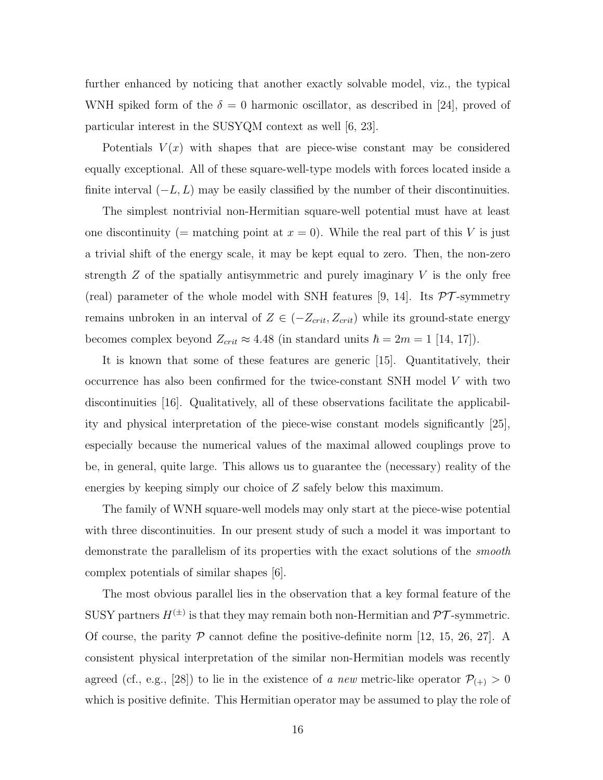further enhanced by noticing that another exactly solvable model, viz., the typical WNH spiked form of the  $\delta = 0$  harmonic oscillator, as described in [24], proved of particular interest in the SUSYQM context as well [6, 23].

Potentials  $V(x)$  with shapes that are piece-wise constant may be considered equally exceptional. All of these square-well-type models with forces located inside a finite interval  $(-L, L)$  may be easily classified by the number of their discontinuities.

The simplest nontrivial non-Hermitian square-well potential must have at least one discontinuity (= matching point at  $x = 0$ ). While the real part of this V is just a trivial shift of the energy scale, it may be kept equal to zero. Then, the non-zero strength  $Z$  of the spatially antisymmetric and purely imaginary  $V$  is the only free (real) parameter of the whole model with SNH features [9, 14]. Its  $\mathcal{PT}$ -symmetry remains unbroken in an interval of  $Z \in (-Z_{crit}, Z_{crit})$  while its ground-state energy becomes complex beyond  $Z_{crit} \approx 4.48$  (in standard units  $\hbar = 2m = 1$  [14, 17]).

It is known that some of these features are generic [15]. Quantitatively, their occurrence has also been confirmed for the twice-constant SNH model V with two discontinuities [16]. Qualitatively, all of these observations facilitate the applicability and physical interpretation of the piece-wise constant models significantly [25], especially because the numerical values of the maximal allowed couplings prove to be, in general, quite large. This allows us to guarantee the (necessary) reality of the energies by keeping simply our choice of Z safely below this maximum.

The family of WNH square-well models may only start at the piece-wise potential with three discontinuities. In our present study of such a model it was important to demonstrate the parallelism of its properties with the exact solutions of the smooth complex potentials of similar shapes [6].

The most obvious parallel lies in the observation that a key formal feature of the SUSY partners  $H^{(\pm)}$  is that they may remain both non-Hermitian and  $\mathcal{PT}$ -symmetric. Of course, the parity  $P$  cannot define the positive-definite norm [12, 15, 26, 27]. A consistent physical interpretation of the similar non-Hermitian models was recently agreed (cf., e.g., [28]) to lie in the existence of a new metric-like operator  $\mathcal{P}_{(+)} > 0$ which is positive definite. This Hermitian operator may be assumed to play the role of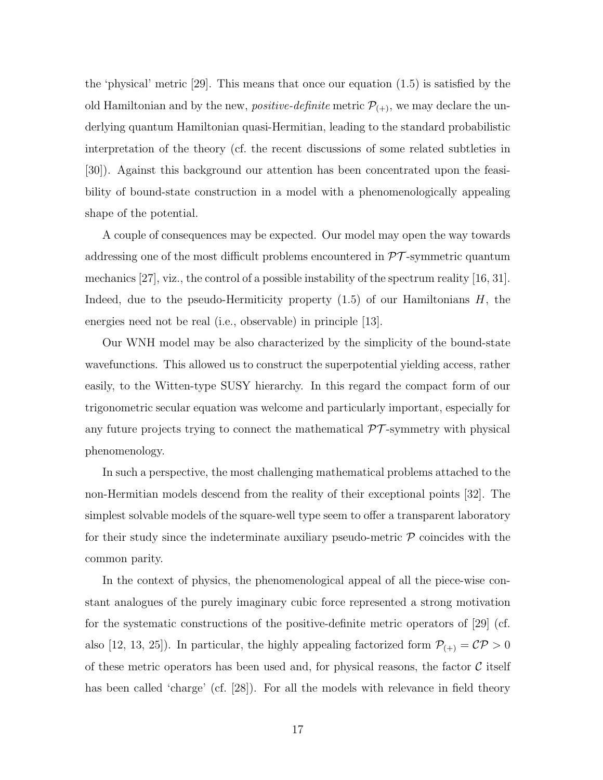the 'physical' metric [29]. This means that once our equation (1.5) is satisfied by the old Hamiltonian and by the new, *positive-definite* metric  $P_{(+)}$ , we may declare the underlying quantum Hamiltonian quasi-Hermitian, leading to the standard probabilistic interpretation of the theory (cf. the recent discussions of some related subtleties in [30]). Against this background our attention has been concentrated upon the feasibility of bound-state construction in a model with a phenomenologically appealing shape of the potential.

A couple of consequences may be expected. Our model may open the way towards addressing one of the most difficult problems encountered in  $\mathcal{PT}$ -symmetric quantum mechanics [27], viz., the control of a possible instability of the spectrum reality [16, 31]. Indeed, due to the pseudo-Hermiticity property  $(1.5)$  of our Hamiltonians H, the energies need not be real (i.e., observable) in principle [13].

Our WNH model may be also characterized by the simplicity of the bound-state wavefunctions. This allowed us to construct the superpotential yielding access, rather easily, to the Witten-type SUSY hierarchy. In this regard the compact form of our trigonometric secular equation was welcome and particularly important, especially for any future projects trying to connect the mathematical  $\mathcal{PT}$ -symmetry with physical phenomenology.

In such a perspective, the most challenging mathematical problems attached to the non-Hermitian models descend from the reality of their exceptional points [32]. The simplest solvable models of the square-well type seem to offer a transparent laboratory for their study since the indeterminate auxiliary pseudo-metric  $P$  coincides with the common parity.

In the context of physics, the phenomenological appeal of all the piece-wise constant analogues of the purely imaginary cubic force represented a strong motivation for the systematic constructions of the positive-definite metric operators of [29] (cf. also [12, 13, 25]). In particular, the highly appealing factorized form  $\mathcal{P}_{(+)} = \mathcal{CP} > 0$ of these metric operators has been used and, for physical reasons, the factor  $\mathcal C$  itself has been called 'charge' (cf. [28]). For all the models with relevance in field theory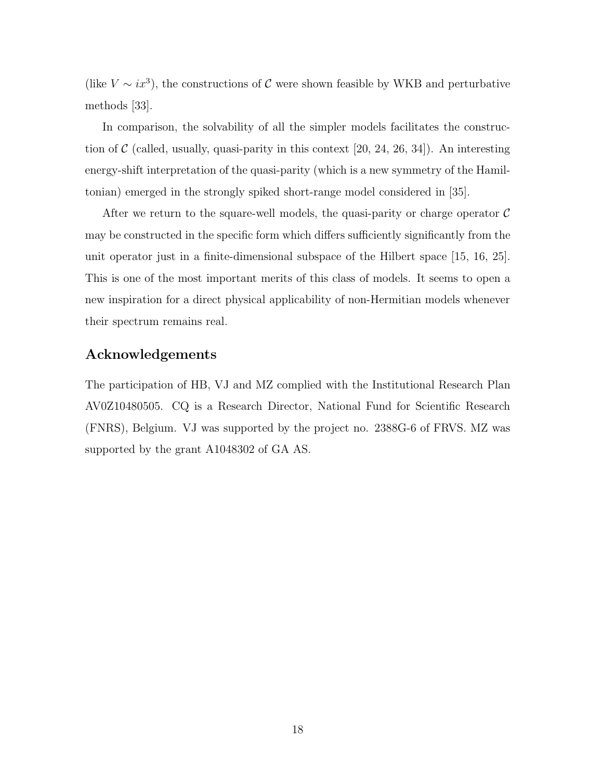(like  $V \sim ix^3$ ), the constructions of C were shown feasible by WKB and perturbative methods [33].

In comparison, the solvability of all the simpler models facilitates the construction of  $\mathcal C$  (called, usually, quasi-parity in this context [20, 24, 26, 34]). An interesting energy-shift interpretation of the quasi-parity (which is a new symmetry of the Hamiltonian) emerged in the strongly spiked short-range model considered in [35].

After we return to the square-well models, the quasi-parity or charge operator  $\mathcal C$ may be constructed in the specific form which differs sufficiently significantly from the unit operator just in a finite-dimensional subspace of the Hilbert space [15, 16, 25]. This is one of the most important merits of this class of models. It seems to open a new inspiration for a direct physical applicability of non-Hermitian models whenever their spectrum remains real.

### Acknowledgements

The participation of HB, VJ and MZ complied with the Institutional Research Plan AV0Z10480505. CQ is a Research Director, National Fund for Scientific Research (FNRS), Belgium. VJ was supported by the project no. 2388G-6 of FRVS. MZ was supported by the grant A1048302 of GA AS.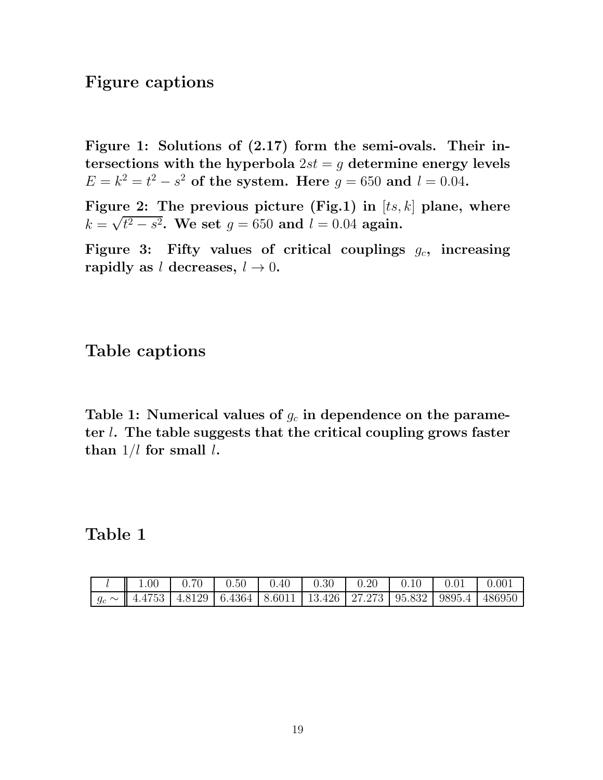# Figure captions

Figure 1: Solutions of (2.17) form the semi-ovals. Their intersections with the hyperbola  $2st = g$  determine energy levels  $E = k^2 = t^2 - s^2$  of the system. Here  $g = 650$  and  $l = 0.04$ .

Figure 2: The previous picture (Fig.1) in  $[ts, k]$  plane, where  $k = \sqrt{t^2 - s^2}$ . We set  $g = 650$  and  $l = 0.04$  again.

Figure 3: Fifty values of critical couplings  $g_c$ , increasing rapidly as l decreases,  $l \rightarrow 0$ .

# Table captions

Table 1: Numerical values of  $g_c$  in dependence on the parameter l. The table suggests that the critical coupling grows faster than  $1/l$  for small  $l$ .

Table 1

| 1.00 |  |  |  |                                                                                                     |
|------|--|--|--|-----------------------------------------------------------------------------------------------------|
|      |  |  |  | $\mid g_c \sim \mid$ 4.4753   4.8129   6.4364   8.6011   13.426   27.273   95.832   9895.4   486950 |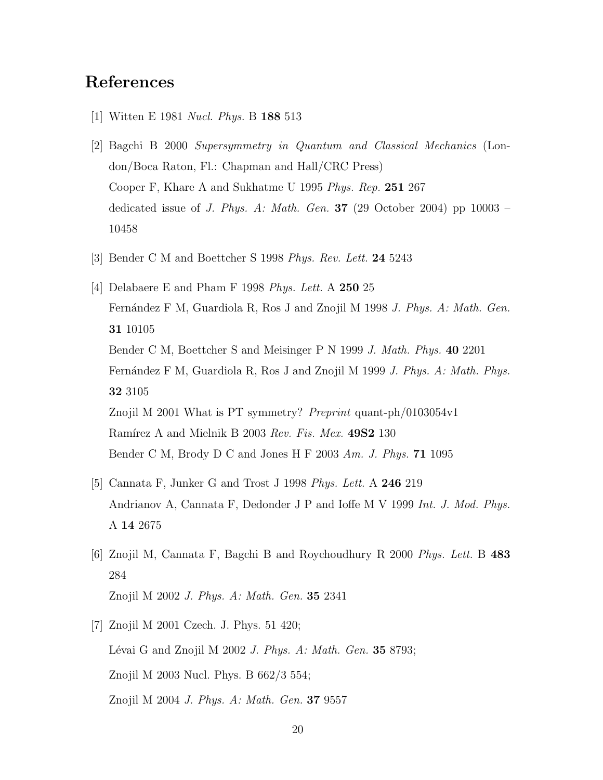# References

- [1] Witten E 1981 Nucl. Phys. B 188 513
- [2] Bagchi B 2000 Supersymmetry in Quantum and Classical Mechanics (London/Boca Raton, Fl.: Chapman and Hall/CRC Press) Cooper F, Khare A and Sukhatme U 1995 Phys. Rep. 251 267 dedicated issue of *J. Phys. A: Math. Gen.* **37** (29 October 2004) pp 10003 – 10458
- [3] Bender C M and Boettcher S 1998 Phys. Rev. Lett. 24 5243
- [4] Delabaere E and Pham F 1998 Phys. Lett. A 250 25 Fernández F M, Guardiola R, Ros J and Znojil M 1998 J. Phys. A: Math. Gen. 31 10105 Bender C M, Boettcher S and Meisinger P N 1999 J. Math. Phys. 40 2201 Fernández F M, Guardiola R, Ros J and Znojil M 1999 J. Phys. A: Math. Phys. 32 3105 Znojil M 2001 What is PT symmetry? Preprint quant-ph/0103054v1 Ramírez A and Mielnik B 2003 Rev. Fis. Mex. 49S2 130 Bender C M, Brody D C and Jones H F 2003 Am. J. Phys. 71 1095
- [5] Cannata F, Junker G and Trost J 1998 Phys. Lett. A 246 219 Andrianov A, Cannata F, Dedonder J P and Ioffe M V 1999 Int. J. Mod. Phys. A 14 2675
- [6] Znojil M, Cannata F, Bagchi B and Roychoudhury R 2000 Phys. Lett. B 483 284 Znojil M 2002 J. Phys. A: Math. Gen. 35 2341
- [7] Znojil M 2001 Czech. J. Phys. 51 420; Lévai G and Znojil M 2002 J. Phys. A: Math. Gen. 35 8793; Znojil M 2003 Nucl. Phys. B 662/3 554; Znojil M 2004 J. Phys. A: Math. Gen. 37 9557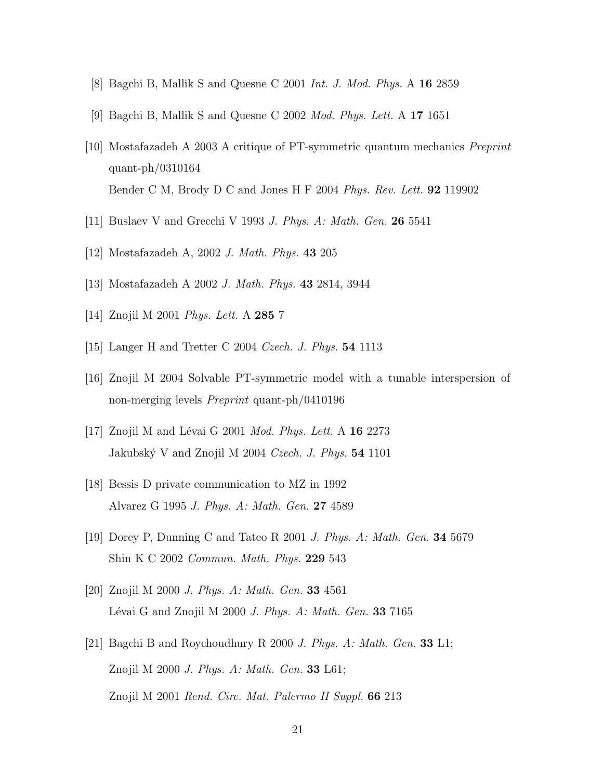- [8] Bagchi B, Mallik S and Quesne C 2001 Int. J. Mod. Phys. A 16 2859
- [9] Bagchi B, Mallik S and Quesne C 2002 Mod. Phys. Lett. A 17 1651
- [10] Mostafazadeh A 2003 A critique of PT-symmetric quantum mechanics Preprint quant-ph/0310164 Bender C M, Brody D C and Jones H F 2004 Phys. Rev. Lett. **92** 119902
- [11] Buslaev V and Grecchi V 1993 J. Phys. A: Math. Gen. 26 5541
- [12] Mostafazadeh A, 2002 J. Math. Phys. 43 205
- [13] Mostafazadeh A 2002 J. Math. Phys. 43 2814, 3944
- [14] Znojil M 2001 Phys. Lett. A 285 7
- [15] Langer H and Tretter C 2004 Czech. J. Phys. 54 1113
- [16] Znojil M 2004 Solvable PT-symmetric model with a tunable interspersion of non-merging levels Preprint quant-ph/0410196
- [17] Znojil M and Lévai G 2001 *Mod. Phys. Lett.* A  $16\ 2273$ Jakubský V and Znojil M 2004 Czech. J. Phys.  $54$  1101
- [18] Bessis D private communication to MZ in 1992 Alvarez G 1995 J. Phys. A: Math. Gen. 27 4589
- [19] Dorey P, Dunning C and Tateo R 2001 J. Phys. A: Math. Gen. 34 5679 Shin K C 2002 Commun. Math. Phys. 229 543
- [20] Znojil M 2000 J. Phys. A: Math. Gen. 33 4561 Lévai G and Znojil M 2000 J. Phys. A: Math. Gen. 33 7165
- [21] Bagchi B and Roychoudhury R 2000 J. Phys. A: Math. Gen. 33 L1; Znojil M 2000 J. Phys. A: Math. Gen. 33 L61; Znojil M 2001 Rend. Circ. Mat. Palermo II Suppl. 66 213